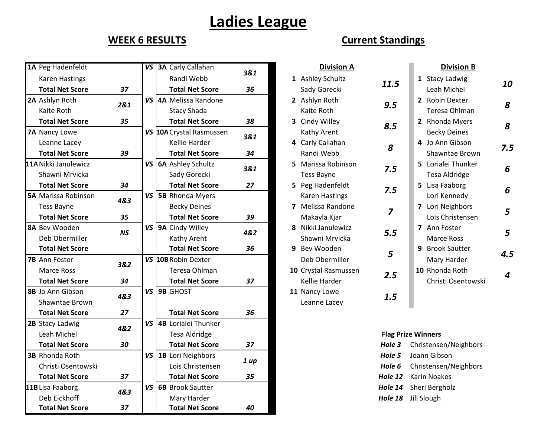## **Ladies League**

| 1A Peg Hadenfeldt           |           | VS 3A Carly Callahan     |      | <b>Division A</b>     |                | <b>Division B</b>         |
|-----------------------------|-----------|--------------------------|------|-----------------------|----------------|---------------------------|
| <b>Karen Hastings</b>       |           | Randi Webb               | 3&1  | 1 Ashley Schultz      |                | 1 Stacy Ladwig            |
| <b>Total Net Score</b>      | 37        | <b>Total Net Score</b>   | 36   | Sady Gorecki          | 11.5           | Leah Michel               |
| 2A Ashlyn Roth              | 2&1       | VS 4A Melissa Randone    |      | 2 Ashlyn Roth         | 9.5            | 2 Robin Dexter            |
| Kaite Roth                  |           | <b>Stacy Shada</b>       |      | Kaite Roth            |                | Teresa Ohlman             |
| <b>Total Net Score</b>      | 35        | <b>Total Net Score</b>   | 38   | 3 Cindy Willey        | 8.5            | 2 Rhonda Myers            |
| 7A Nancy Lowe               |           | VS 10A Crystal Rasmussen | 3&1  | Kathy Arent           |                | <b>Becky Deines</b>       |
| Leanne Lacey                |           | Kellie Harder            |      | 4 Carly Callahan      | 8              | 4 Jo Ann Gibson           |
| <b>Total Net Score</b>      | 39        | <b>Total Net Score</b>   | 34   | Randi Webb            |                | Shawntae Brown            |
| <b>11A</b> Nikki Janulewicz |           | VS   6A Ashley Schultz   | 3&1  | 5 Marissa Robinson    | 7.5            | 5 Lorialei Thunker        |
| Shawni Mrvicka              |           | Sady Gorecki             |      | Tess Bayne            |                | <b>Tesa Aldridge</b>      |
| <b>Total Net Score</b>      | 34        | <b>Total Net Score</b>   | 27   | 5 Peg Hadenfeldt      | 7.5            | 5 Lisa Faaborg            |
| <b>5A Marissa Robinson</b>  | 4&3       | VS 5B Rhonda Myers       |      | <b>Karen Hastings</b> |                | Lori Kennedy              |
| <b>Tess Bayne</b>           |           | <b>Becky Deines</b>      |      | 7 Melissa Randone     | $\overline{z}$ | 7 Lori Neighbors          |
| <b>Total Net Score</b>      | 35        | <b>Total Net Score</b>   | 39   | Makayla Kjar          |                | Lois Christensen          |
| <b>8A Bev Wooden</b>        | <b>NS</b> | VS   9A Cindy Willey     | 4&2  | 8 Nikki Janulewicz    | 5.5            | 7 Ann Foster              |
| Deb Obermiller              |           | Kathy Arent              |      | Shawni Mrvicka        |                | <b>Marce Ross</b>         |
| <b>Total Net Score</b>      |           | <b>Total Net Score</b>   | 36   | 9 Bev Wooden          | 5              | 9 Brook Sautter           |
| <b>7B</b> Ann Foster        | 3&2       | VS 10B Robin Dexter      |      | Deb Obermiller        |                | Mary Harder               |
| <b>Marce Ross</b>           |           | Teresa Ohlman            |      | 10 Crystal Rasmussen  | 2.5            | 10 Rhonda Roth            |
| <b>Total Net Score</b>      | 34        | <b>Total Net Score</b>   | 37   | Kellie Harder         |                | Christi Osentowski        |
| 8B Jo Ann Gibson            | 4&3       | VS 9B GHOST              |      | 11 Nancy Lowe         | 1.5            |                           |
| Shawntae Brown              |           |                          |      | Leanne Lacey          |                |                           |
| <b>Total Net Score</b>      | 27        | <b>Total Net Score</b>   | 36   |                       |                |                           |
| 2B Stacy Ladwig             | 4&2       | VS 4B Lorialei Thunker   |      |                       |                |                           |
| Leah Michel                 |           | <b>Tesa Aldridge</b>     |      |                       |                | <b>Flag Prize Winners</b> |
| <b>Total Net Score</b>      | 30        | <b>Total Net Score</b>   | 37   |                       | Hole 3         | Christensen/Neighbors     |
| <b>3B Rhonda Roth</b>       |           | VS   1B Lori Neighbors   | 1 up |                       | Hole 5         | Joann Gibson              |
| Christi Osentowski          |           | Lois Christensen         |      |                       | Hole 6         | Christensen/Neighbors     |
| <b>Total Net Score</b>      | 37        | <b>Total Net Score</b>   | 35   |                       | Hole 12        | <b>Karin Noakes</b>       |
| 11B Lisa Faaborg            | 4&3       | VS 6B Brook Sautter      |      |                       | Hole 14        | Sheri Bergholz            |
| Deb Eickhoff                |           | Mary Harder              |      |                       | Hole 18        | Jill Slough               |
| <b>Total Net Score</b>      | 37        | <b>Total Net Score</b>   | 40   |                       |                |                           |

## **WEEK 6 RESULTS Current Standings**

|                              | <b>Division A</b>                                         |      |              | <b>Division B</b>                                              |     |
|------------------------------|-----------------------------------------------------------|------|--------------|----------------------------------------------------------------|-----|
| L                            | <b>Ashley Schultz</b>                                     | 11.5 | 1            | <b>Stacy Ladwig</b>                                            | 10  |
| $\overline{\mathbf{r}}$<br>Š | Sady Gorecki<br>Ashlyn Roth<br>Kaite Roth<br>Cindy Willey | 9.5  | $\mathbf{2}$ | Leah Michel<br>2 Robin Dexter<br>Teresa Ohlman<br>Rhonda Myers | 8   |
| ı                            | Kathy Arent<br>Carly Callahan                             | 8.5  |              | <b>Becky Deines</b><br>4 Jo Ann Gibson                         | 8   |
|                              | Randi Webb                                                | 8    |              | Shawntae Brown                                                 | 7.5 |
| 5                            | Marissa Robinson<br><b>Tess Bayne</b>                     | 7.5  | 5.           | Lorialei Thunker<br>Tesa Aldridge                              | 6   |
| 5                            | Peg Hadenfeldt<br><b>Karen Hastings</b>                   | 7.5  | 5.           | Lisa Faaborg<br>Lori Kennedy                                   | 6   |
| 7                            | Melissa Randone<br>Makayla Kjar                           | 7    |              | 7 Lori Neighbors<br>Lois Christensen                           | 5   |
| ₹                            | Nikki Janulewicz<br>Shawni Mrvicka                        | 5.5  | 7            | Ann Foster<br>Marce Ross                                       | 5   |
| €                            | Bev Wooden<br>Deb Obermiller                              | 5    | 9            | <b>Brook Sautter</b><br>Mary Harder                            | 4.5 |
|                              | <b>0</b> Crystal Rasmussen<br>Kellie Harder               | 2.5  |              | 10 Rhonda Roth<br>Christi Osentowski                           | Δ   |
|                              | 1 Nancy Lowe<br>Leanne Lacey                              | 1.5  |              |                                                                |     |
|                              |                                                           |      |              |                                                                |     |

## **Flag Prize Winners**

| Hole 3 Christensen/Neighbors  |  |  |  |  |
|-------------------------------|--|--|--|--|
| <b>Hole 5</b> Joann Gibson    |  |  |  |  |
| Hole 6 Christensen/Neighbors  |  |  |  |  |
| <b>Hole 12</b> Karin Noakes   |  |  |  |  |
| <b>Hole 14</b> Sheri Bergholz |  |  |  |  |
| Hole 18 Jill Slough           |  |  |  |  |